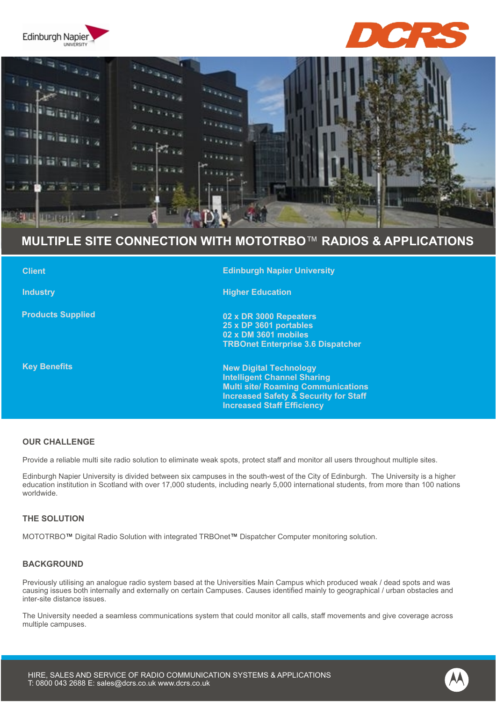





# **MULTIPLE SITE CONNECTION WITH MOTOTRBO**™ **RADIOS & APPLICATIONS**

| <b>Client</b>            | <b>Edinburgh Napier University</b>                                                                                                                                                                        |
|--------------------------|-----------------------------------------------------------------------------------------------------------------------------------------------------------------------------------------------------------|
| <b>Industry</b>          | <b>Higher Education</b>                                                                                                                                                                                   |
| <b>Products Supplied</b> | 02 x DR 3000 Repeaters<br>25 x DP 3601 portables<br>02 x DM 3601 mobiles<br><b>TRBOnet Enterprise 3.6 Dispatcher</b>                                                                                      |
| <b>Key Benefits</b>      | <b>New Digital Technology</b><br><b>Intelligent Channel Sharing</b><br><b>Multi site/ Roaming Communications</b><br><b>Increased Safety &amp; Security for Staff</b><br><b>Increased Staff Efficiency</b> |

## **OUR CHALLENGE**

Provide a reliable multi site radio solution to eliminate weak spots, protect staff and monitor all users throughout multiple sites.

Edinburgh Napier University is divided between six campuses in the south-west of the City of Edinburgh. The University is a higher education institution in Scotland with over 17,000 students, including nearly 5,000 international students, from more than 100 nations worldwide.

### **THE SOLUTION**

MOTOTRBO™ Digital Radio Solution with integrated TRBOnet™ Dispatcher Computer monitoring solution.

#### **BACKGROUND**

Previously utilising an analogue radio system based at the Universities Main Campus which produced weak / dead spots and was causing issues both internally and externally on certain Campuses. Causes identified mainly to geographical / urban obstacles and inter-site distance issues.

The University needed a seamless communications system that could monitor all calls, staff movements and give coverage across multiple campuses.